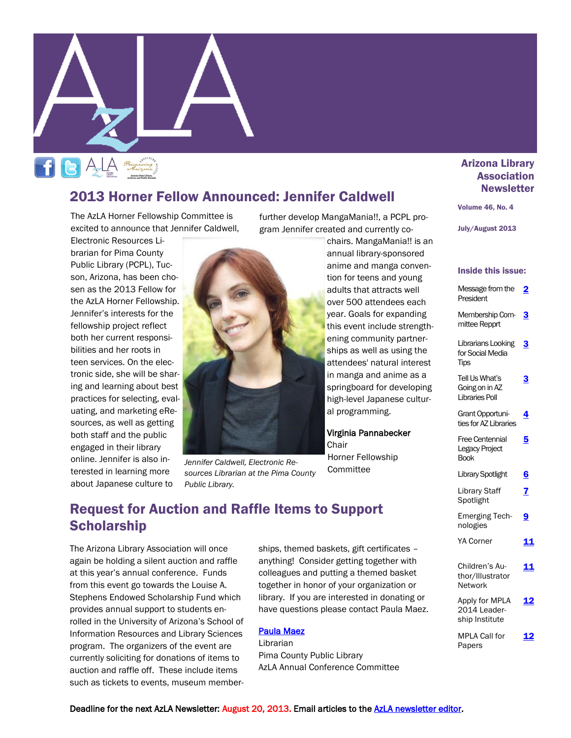

# 2013 Horner Fellow Announced: Jennifer Caldwell

The AzLA Horner Fellowship Committee is excited to announce that Jennifer Caldwell,

Electronic Resources Librarian for Pima County Public Library (PCPL), Tucson, Arizona, has been chosen as the 2013 Fellow for the AzLA Horner Fellowship. Jennifer's interests for the fellowship project reflect both her current responsibilities and her roots in teen services. On the electronic side, she will be sharing and learning about best practices for selecting, evaluating, and marketing eResources, as well as getting both staff and the public engaged in their library online. Jennifer is also interested in learning more about Japanese culture to



*Jennifer Caldwell, Electronic Resources Librarian at the Pima County Public Library.* 

further develop MangaMania!!, a PCPL program Jennifer created and currently co-

chairs. MangaMania!! is an annual library-sponsored anime and manga convention for teens and young adults that attracts well over 500 attendees each year. Goals for expanding this event include strengthening community partnerships as well as using the attendees' natural interest in manga and anime as a springboard for developing high-level Japanese cultural programming.

### Virginia Pannabecker **Chair**

Horner Fellowship Committee

### Arizona Library **Association Newsletter**

#### Volume 46, No. 4

July/August 2013

#### Inside this issue:

| Message from the<br>President                             | 2          |
|-----------------------------------------------------------|------------|
| Membership Com-<br>mittee Repprt                          | 3          |
| Librarians Looking<br>for Social Media<br><b>Tips</b>     | <u>ვ</u>   |
| Tell Us What's<br>Going on in AZ<br><b>Libraries Poll</b> | 3          |
| Grant Opportuni-<br>ties for AZ Libraries                 | 4          |
| <b>Free Centennial</b><br>Legacy Project<br><b>Book</b>   | 5          |
| <b>Library Spotlight</b>                                  | <u>6</u>   |
| <b>Library Staff</b><br>Spotlight                         | 7          |
| <b>Emerging Tech-</b><br>nologies                         | 9          |
| <b>YA Corner</b>                                          | 11         |
| Children's Au-<br>thor/Illustrator<br>Network             | <u> 11</u> |
| Apply for MPLA<br>2014 Leader-<br>ship Institute          | 12         |
| MPLA Call for<br>Papers                                   |            |

# Request for Auction and Raffle Items to Support **Scholarship**

The Arizona Library Association will once again be holding a silent auction and raffle at this year's annual conference. Funds from this event go towards the Louise A. Stephens Endowed Scholarship Fund which provides annual support to students enrolled in the University of Arizona's School of Information Resources and Library Sciences program. The organizers of the event are currently soliciting for donations of items to auction and raffle off. These include items such as tickets to events, museum memberships, themed baskets, gift certificates – anything! Consider getting together with colleagues and putting a themed basket together in honor of your organization or library. If you are interested in donating or have questions please contact Paula Maez.

#### [Paula Maez](mailto:paula.maez@pima.gov)

Librarian Pima County Public Library AzLA Annual Conference Committee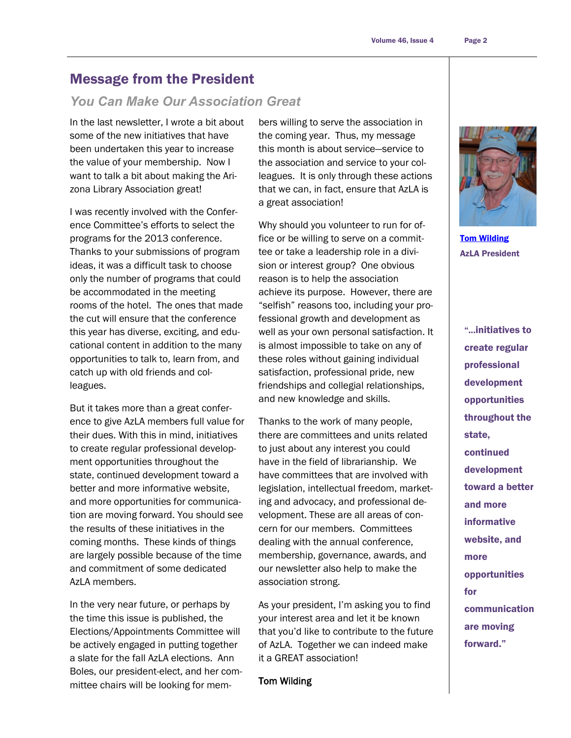# <span id="page-1-0"></span>Message from the President

### *You Can Make Our Association Great*

In the last newsletter, I wrote a bit about some of the new initiatives that have been undertaken this year to increase the value of your membership. Now I want to talk a bit about making the Arizona Library Association great!

I was recently involved with the Conference Committee's efforts to select the programs for the 2013 conference. Thanks to your submissions of program ideas, it was a difficult task to choose only the number of programs that could be accommodated in the meeting rooms of the hotel. The ones that made the cut will ensure that the conference this year has diverse, exciting, and educational content in addition to the many opportunities to talk to, learn from, and catch up with old friends and colleagues.

But it takes more than a great conference to give AzLA members full value for their dues. With this in mind, initiatives to create regular professional development opportunities throughout the state, continued development toward a better and more informative website, and more opportunities for communication are moving forward. You should see the results of these initiatives in the coming months. These kinds of things are largely possible because of the time and commitment of some dedicated AzLA members.

In the very near future, or perhaps by the time this issue is published, the Elections/Appointments Committee will be actively engaged in putting together a slate for the fall AzLA elections. Ann Boles, our president-elect, and her committee chairs will be looking for mem-

bers willing to serve the association in the coming year. Thus, my message this month is about service—service to the association and service to your colleagues. It is only through these actions that we can, in fact, ensure that AzLA is a great association!

Why should you volunteer to run for office or be willing to serve on a committee or take a leadership role in a division or interest group? One obvious reason is to help the association achieve its purpose. However, there are ―selfish‖ reasons too, including your professional growth and development as well as your own personal satisfaction. It is almost impossible to take on any of these roles without gaining individual satisfaction, professional pride, new friendships and collegial relationships, and new knowledge and skills.

Thanks to the work of many people, there are committees and units related to just about any interest you could have in the field of librarianship. We have committees that are involved with legislation, intellectual freedom, marketing and advocacy, and professional development. These are all areas of concern for our members. Committees dealing with the annual conference, membership, governance, awards, and our newsletter also help to make the association strong.

As your president, I'm asking you to find your interest area and let it be known that you'd like to contribute to the future of AzLA. Together we can indeed make it a GREAT association!

Tom Wilding



[Tom Wilding](mailto:president@azla.org) AzLA President

"...initiatives to create regular professional development opportunities throughout the state, continued development toward a better and more informative website, and more opportunities for communication are moving forward."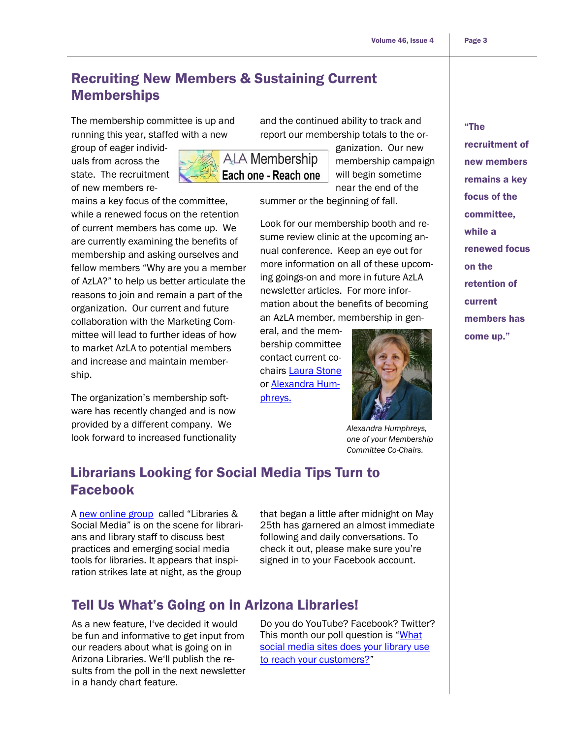# <span id="page-2-0"></span>Recruiting New Members & Sustaining Current Memberships

The membership committee is up and running this year, staffed with a new

group of eager individuals from across the state. The recruitment of new members re-

**ALA Membership** Each one - Reach one

mains a key focus of the committee, while a renewed focus on the retention of current members has come up. We are currently examining the benefits of membership and asking ourselves and fellow members "Why are you a member of AzLA?" to help us better articulate the reasons to join and remain a part of the organization. Our current and future collaboration with the Marketing Committee will lead to further ideas of how to market AzLA to potential members and increase and maintain membership.

The organization's membership software has recently changed and is now provided by a different company. We look forward to increased functionality and the continued ability to track and report our membership totals to the or-

> ganization. Our new membership campaign will begin sometime near the end of the

summer or the beginning of fall.

Look for our membership booth and resume review clinic at the upcoming annual conference. Keep an eye out for more information on all of these upcoming goings-on and more in future AzLA newsletter articles. For more information about the benefits of becoming an AzLA member, membership in gen-

eral, and the membership committee contact current cochairs [Laura Stone](mailto:lstone@azlibrary.gov) or **Alexandra Hum**[phreys.](mailto:Alexandra.humphreys@asu.edu)



*Alexandra Humphreys, one of your Membership Committee Co-Chairs.*

# Librarians Looking for Social Media Tips Turn to Facebook

A [new online group](https://www.facebook.com/groups/LibrarySocial/) called "Libraries & Social Media" is on the scene for librarians and library staff to discuss best practices and emerging social media tools for libraries. It appears that inspiration strikes late at night, as the group

that began a little after midnight on May 25th has garnered an almost immediate following and daily conversations. To check it out, please make sure you're signed in to your Facebook account.

# Tell Us What's Going on in Arizona Libraries!

As a new feature, I've decided it would be fun and informative to get input from our readers about what is going on in Arizona Libraries. We‗ll publish the results from the poll in the next newsletter in a handy chart feature.

Do you do YouTube? Facebook? Twitter? This month our poll question is "What [social media sites does your library use](https://docs.google.com/forms/d/1nhNVBf3yobA0nvO3k0M0mjPQbDCv7IXK7pMADy0ZBdQ/viewform)  [to reach your customers?](https://docs.google.com/forms/d/1nhNVBf3yobA0nvO3k0M0mjPQbDCv7IXK7pMADy0ZBdQ/viewform)"

# "The recruitment of new members remains a key focus of the committee, while a renewed focus on the retention of current

members has come up."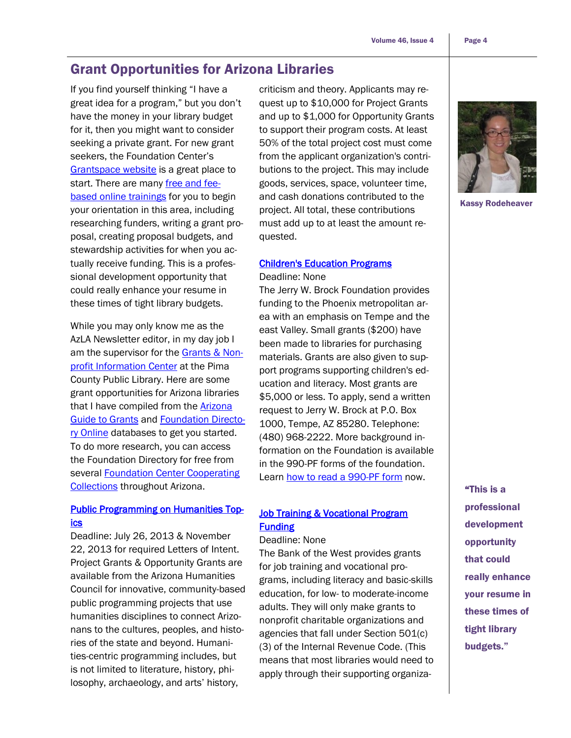# <span id="page-3-0"></span>Grant Opportunities for Arizona Libraries

If you find yourself thinking "I have a great idea for a program," but you don't have the money in your library budget for it, then you might want to consider seeking a private grant. For new grant seekers, the Foundation Center's [Grantspace website](http://grantspace.org/) is a great place to start. There are many [free and fee](http://grantspace.org/Classroom)[based online trainings](http://grantspace.org/Classroom) for you to begin your orientation in this area, including researching funders, writing a grant proposal, creating proposal budgets, and stewardship activities for when you actually receive funding. This is a professional development opportunity that could really enhance your resume in these times of tight library budgets.

While you may only know me as the AzLA Newsletter editor, in my day job I am the supervisor for the [Grants & Non](http://www.library.pima.gov/grants/)[profit Information Center](http://www.library.pima.gov/grants/) at the Pima County Public Library. Here are some grant opportunities for Arizona libraries that I have compiled from the [Arizona](http://www.arizonanonprofits.org/GGO)  [Guide to Grants](http://www.arizonanonprofits.org/GGO) and [Foundation Directo](http://fconline.foundationcenter.org/)[ry Online](http://fconline.foundationcenter.org/) databases to get you started. To do more research, you can access the Foundation Directory for free from several [Foundation Center Cooperating](http://grantspace.org/Find-Us)  [Collections](http://grantspace.org/Find-Us) throughout Arizona.

### [Public Programming on Humanities Top](http://www.azhumanities.org/ggrantsoverview.php)[ics](http://www.azhumanities.org/ggrantsoverview.php)

Deadline: July 26, 2013 & November 22, 2013 for required Letters of Intent. Project Grants & Opportunity Grants are available from the Arizona Humanities Council for innovative, community-based public programming projects that use humanities disciplines to connect Arizonans to the cultures, peoples, and histories of the state and beyond. Humanities-centric programming includes, but is not limited to literature, history, philosophy, archaeology, and arts' history,

criticism and theory. Applicants may request up to \$10,000 for Project Grants and up to \$1,000 for Opportunity Grants to support their program costs. At least 50% of the total project cost must come from the applicant organization's contributions to the project. This may include goods, services, space, volunteer time, and cash donations contributed to the project. All total, these contributions must add up to at least the amount requested.

### [Children's Education Programs](http://dynamodata.fdncenter.org/990s/990search/ffindershow.cgi?id=JERR010)

#### Deadline: None

The Jerry W. Brock Foundation provides funding to the Phoenix metropolitan area with an emphasis on Tempe and the east Valley. Small grants (\$200) have been made to libraries for purchasing materials. Grants are also given to support programs supporting children's education and literacy. Most grants are \$5,000 or less. To apply, send a written request to Jerry W. Brock at P.O. Box 1000, Tempe, AZ 85280. Telephone: (480) 968-2222. More background information on the Foundation is available in the 990-PF forms of the foundation. Learn [how to read a 990-PF form](http://www.library.pima.gov/grants/grantsforms990.php#explanation) now.

### **Job Training & Vocational Program Funding**

Deadline: None

The Bank of the West provides grants for job training and vocational programs, including literacy and basic-skills education, for low- to moderate-income adults. They will only make grants to nonprofit charitable organizations and agencies that fall under Section 501(c) (3) of the Internal Revenue Code. (This means that most libraries would need to apply through their supporting organiza-



Kassy Rodeheaver

"This is a professional development opportunity that could really enhance your resume in these times of tight library budgets."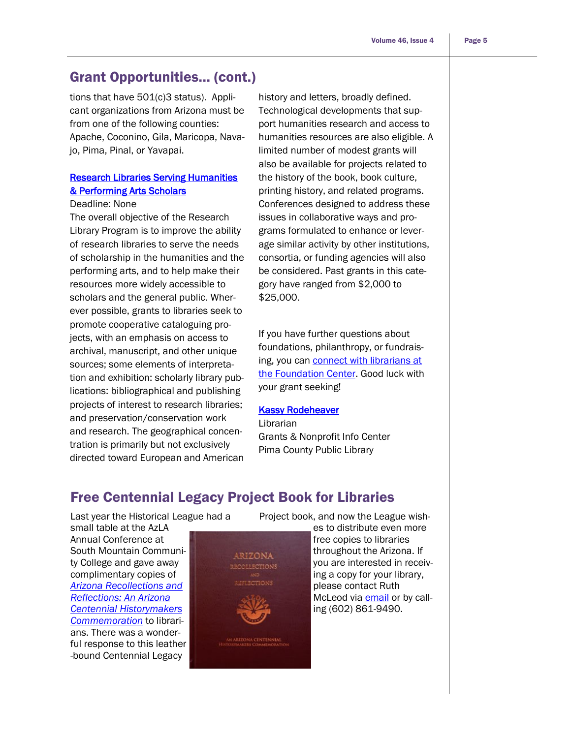### <span id="page-4-0"></span>Grant Opportunities… (cont.)

tions that have 501(c)3 status). Applicant organizations from Arizona must be from one of the following counties: Apache, Coconino, Gila, Maricopa, Navajo, Pima, Pinal, or Yavapai.

### [Research Libraries Serving Humanities](http://www.delmas.org/programs/research_lib_d.html)  [& Performing Arts Scholars](http://www.delmas.org/programs/research_lib_d.html)

#### Deadline: None

The overall objective of the Research Library Program is to improve the ability of research libraries to serve the needs of scholarship in the humanities and the performing arts, and to help make their resources more widely accessible to scholars and the general public. Wherever possible, grants to libraries seek to promote cooperative cataloguing projects, with an emphasis on access to archival, manuscript, and other unique sources; some elements of interpretation and exhibition: scholarly library publications: bibliographical and publishing projects of interest to research libraries; and preservation/conservation work and research. The geographical concentration is primarily but not exclusively directed toward European and American

history and letters, broadly defined. Technological developments that support humanities research and access to humanities resources are also eligible. A limited number of modest grants will also be available for projects related to the history of the book, book culture, printing history, and related programs. Conferences designed to address these issues in collaborative ways and programs formulated to enhance or leverage similar activity by other institutions, consortia, or funding agencies will also be considered. Past grants in this category have ranged from \$2,000 to \$25,000.

If you have further questions about foundations, philanthropy, or fundraising, you can [connect with librarians at](http://foundationcenter.org/getstarted/askus/)  [the Foundation Center.](http://foundationcenter.org/getstarted/askus/) Good luck with your grant seeking!

#### **Kassy Rodeheaver**

Librarian Grants & Nonprofit Info Center Pima County Public Library

# Free Centennial Legacy Project Book for Libraries

Last year the Historical League had a small table at the AzLA Annual Conference at South Mountain Community College and gave away complimentary copies of *[Arizona Recollections and](http://www.historicalleague.org/store)  [Reflections: An Arizona](http://www.historicalleague.org/store)  [Centennial Historymakers](http://www.historicalleague.org/store)  [Commemoration](http://www.historicalleague.org/store)* to librarians. There was a wonderful response to this leather -bound Centennial Legacy



Project book, and now the League wish-

es to distribute even more free copies to libraries throughout the Arizona. If you are interested in receiving a copy for your library, please contact Ruth McLeod via [email](mailto:ruthmcleod@earthlink.net) or by calling (602) 861-9490.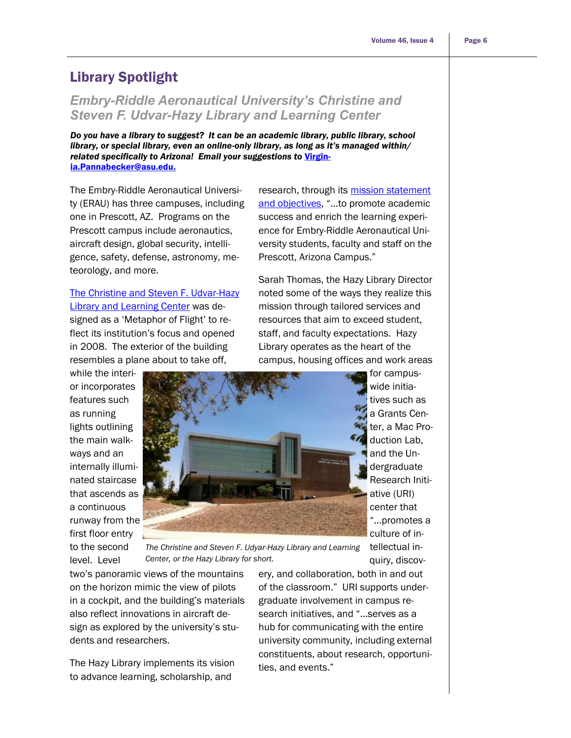# <span id="page-5-0"></span>Library Spotlight

# *Embry-Riddle Aeronautical University's Christine and Steven F. Udvar-Hazy Library and Learning Center*

*Do you have a library to suggest? It can be an academic library, public library, school library, or special library, even an online-only library, as long as it's managed within/ related specifically to Arizona! Email your suggestions to* [Virgin](mailto:Virginia.Pannabecker@asu.edu)[ia.Pannabecker@asu.edu.](mailto:Virginia.Pannabecker@asu.edu)

The Embry-Riddle Aeronautical University (ERAU) has three campuses, including one in Prescott, AZ. Programs on the Prescott campus include aeronautics, aircraft design, global security, intelligence, safety, defense, astronomy, meteorology, and more.

[The Christine and Steven F. Udvar-Hazy](http://prescott.erau.edu/campus-services/library/library.html)  [Library and Learning Center](http://prescott.erau.edu/campus-services/library/library.html) was designed as a 'Metaphor of Flight' to reflect its institution's focus and opened in 2008. The exterior of the building resembles a plane about to take off,

research, through its mission statement [and objectives](http://library.pr.erau.edu/about/mission.php), "...to promote academic success and enrich the learning experience for Embry-Riddle Aeronautical University students, faculty and staff on the Prescott, Arizona Campus."

Sarah Thomas, the Hazy Library Director noted some of the ways they realize this mission through tailored services and resources that aim to exceed student, staff, and faculty expectations. Hazy Library operates as the heart of the campus, housing offices and work areas



level. Level



for campuswide initiatives such as a Grants Center, a Mac Production Lab, and the Undergraduate Research Initiative (URI) center that ―...promotes a culture of in-

The Christine and Steven F. Udyar-Hazy Library and Learning tellectual inquiry, discov-*Center, or the Hazy Library for short.* 

two's panoramic views of the mountains on the horizon mimic the view of pilots in a cockpit, and the building's materials also reflect innovations in aircraft design as explored by the university's students and researchers.

The Hazy Library implements its vision to advance learning, scholarship, and

ery, and collaboration, both in and out of the classroom." URI supports undergraduate involvement in campus research initiatives, and "...serves as a hub for communicating with the entire university community, including external constituents, about research, opportunities, and events."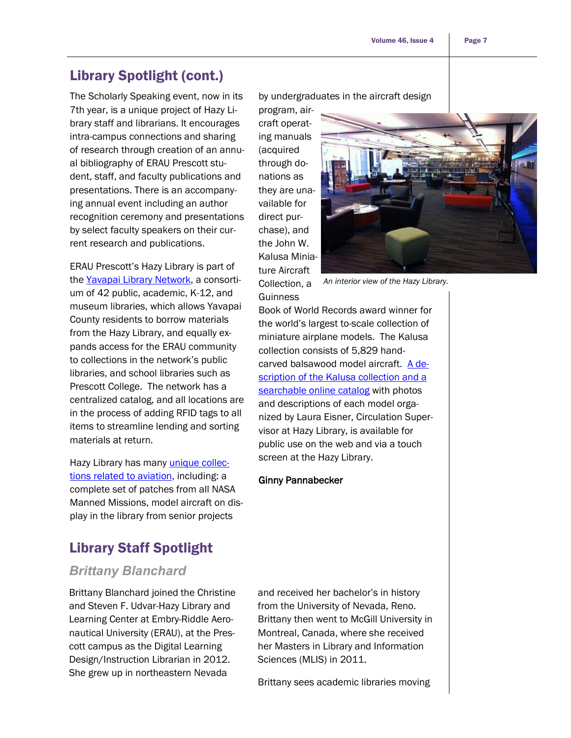# <span id="page-6-0"></span>Library Spotlight (cont.)

The Scholarly Speaking event, now in its 7th year, is a unique project of Hazy Library staff and librarians. It encourages intra-campus connections and sharing of research through creation of an annual bibliography of ERAU Prescott student, staff, and faculty publications and presentations. There is an accompanying annual event including an author recognition ceremony and presentations by select faculty speakers on their current research and publications.

ERAU Prescott's Hazy Library is part of the [Yavapai Library Network,](http://portal.yln.info/) a consortium of 42 public, academic, K-12, and museum libraries, which allows Yavapai County residents to borrow materials from the Hazy Library, and equally expands access for the ERAU community to collections in the network's public libraries, and school libraries such as Prescott College. The network has a centralized catalog, and all locations are in the process of adding RFID tags to all items to streamline lending and sorting materials at return.

Hazy Library has many [unique collec](http://archives.pr.erau.edu/)[tions related to aviation,](http://archives.pr.erau.edu/) including: a complete set of patches from all NASA Manned Missions, model aircraft on display in the library from senior projects

# Library Staff Spotlight

### *Brittany Blanchard*

Brittany Blanchard joined the Christine and Steven F. Udvar-Hazy Library and Learning Center at Embry-Riddle Aeronautical University (ERAU), at the Prescott campus as the Digital Learning Design/Instruction Librarian in 2012. She grew up in northeastern Nevada

by undergraduates in the aircraft design

program, aircraft operating manuals (acquired through donations as they are unavailable for direct purchase), and the John W. Kalusa Miniature Aircraft Collection, a **Guinness** 

Book of World Records award winner for the world's largest to-scale collection of miniature airplane models. The Kalusa collection consists of 5,829 handcarved balsawood model aircraft. [A de](http://www.google.com/url?q=http%3A%2F%2Flibrary.pr.erau.edu%2Fexhibits%2Fkalusa.php&sa=D&sntz=1&usg=AFQjCNEg0yl8scKkWW-R8ApnZ0CtawGblA)scription of the Kalusa collection and a [searchable online catalog](http://www.google.com/url?q=http%3A%2F%2Flibrary.pr.erau.edu%2Fexhibits%2Fkalusa.php&sa=D&sntz=1&usg=AFQjCNEg0yl8scKkWW-R8ApnZ0CtawGblA) with photos and descriptions of each model organized by Laura Eisner, Circulation Supervisor at Hazy Library, is available for public use on the web and via a touch screen at the Hazy Library.

#### Ginny Pannabecker

and received her bachelor's in history from the University of Nevada, Reno. Brittany then went to McGill University in Montreal, Canada, where she received her Masters in Library and Information Sciences (MLIS) in 2011.

Brittany sees academic libraries moving

*An interior view of the Hazy Library.* 

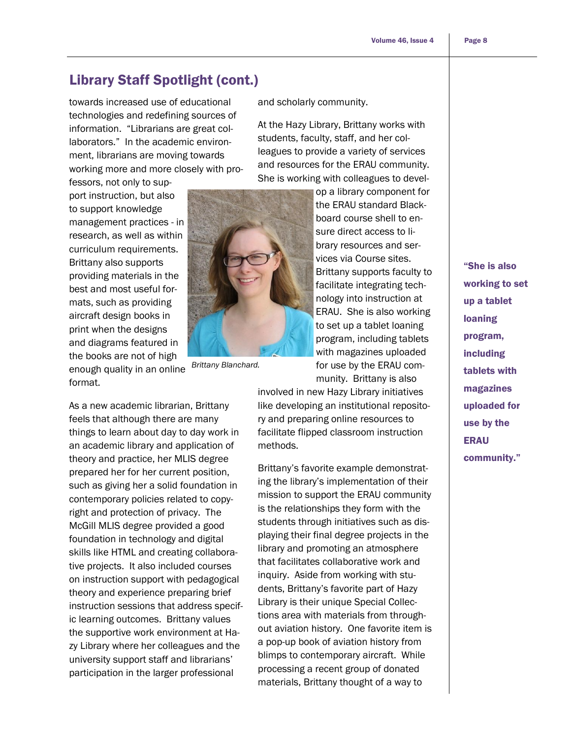# Library Staff Spotlight (cont.)

towards increased use of educational technologies and redefining sources of information. "Librarians are great collaborators." In the academic environment, librarians are moving towards working more and more closely with pro-

fessors, not only to support instruction, but also to support knowledge management practices - in research, as well as within curriculum requirements. Brittany also supports providing materials in the best and most useful formats, such as providing aircraft design books in print when the designs and diagrams featured in the books are not of high

enough quality in an online format. *Brittany Blanchard.* 

As a new academic librarian, Brittany feels that although there are many things to learn about day to day work in an academic library and application of theory and practice, her MLIS degree prepared her for her current position, such as giving her a solid foundation in contemporary policies related to copyright and protection of privacy. The McGill MLIS degree provided a good foundation in technology and digital skills like HTML and creating collaborative projects. It also included courses on instruction support with pedagogical theory and experience preparing brief instruction sessions that address specific learning outcomes. Brittany values the supportive work environment at Hazy Library where her colleagues and the university support staff and librarians' participation in the larger professional

and scholarly community.

At the Hazy Library, Brittany works with students, faculty, staff, and her colleagues to provide a variety of services and resources for the ERAU community. She is working with colleagues to devel-

> op a library component for the ERAU standard Blackboard course shell to ensure direct access to library resources and services via Course sites. Brittany supports faculty to facilitate integrating technology into instruction at ERAU. She is also working to set up a tablet loaning program, including tablets with magazines uploaded for use by the ERAU community. Brittany is also

involved in new Hazy Library initiatives like developing an institutional repository and preparing online resources to facilitate flipped classroom instruction methods.

Brittany's favorite example demonstrating the library's implementation of their mission to support the ERAU community is the relationships they form with the students through initiatives such as displaying their final degree projects in the library and promoting an atmosphere that facilitates collaborative work and inquiry. Aside from working with students, Brittany's favorite part of Hazy Library is their unique Special Collections area with materials from throughout aviation history. One favorite item is a pop-up book of aviation history from blimps to contemporary aircraft. While processing a recent group of donated materials, Brittany thought of a way to

"She is also working to set up a tablet loaning program, including tablets with magazines uploaded for use by the ERAU community."

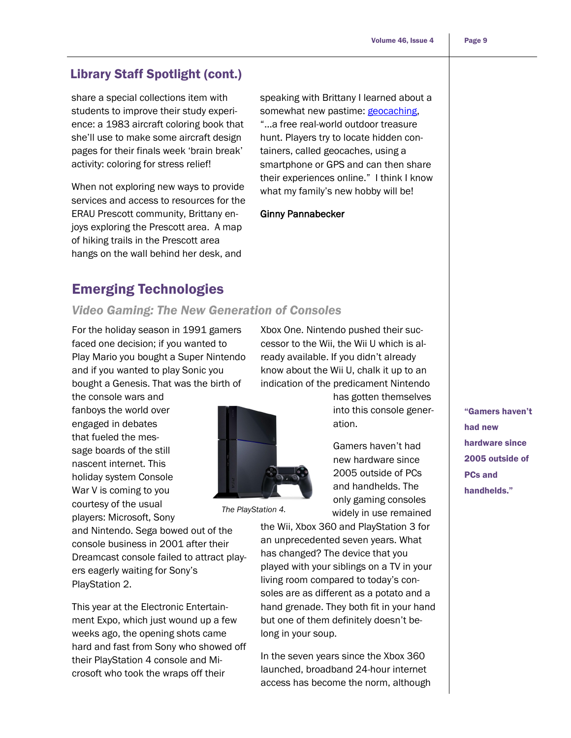### <span id="page-8-0"></span>Library Staff Spotlight (cont.)

share a special collections item with students to improve their study experience: a 1983 aircraft coloring book that she'll use to make some aircraft design pages for their finals week 'brain break' activity: coloring for stress relief!

When not exploring new ways to provide services and access to resources for the ERAU Prescott community, Brittany enjoys exploring the Prescott area. A map of hiking trails in the Prescott area hangs on the wall behind her desk, and

speaking with Brittany I learned about a somewhat new pastime: **geocaching**, "...a free real-world outdoor treasure hunt. Players try to locate hidden containers, called geocaches, using a smartphone or GPS and can then share their experiences online." I think I know what my family's new hobby will be!

### Ginny Pannabecker

# Emerging Technologies

### *Video Gaming: The New Generation of Consoles*

For the holiday season in 1991 gamers faced one decision; if you wanted to Play Mario you bought a Super Nintendo and if you wanted to play Sonic you bought a Genesis. That was the birth of

the console wars and fanboys the world over engaged in debates that fueled the message boards of the still nascent internet. This holiday system Console War V is coming to you courtesy of the usual players: Microsoft, Sony

and Nintendo. Sega bowed out of the console business in 2001 after their Dreamcast console failed to attract players eagerly waiting for Sony's PlayStation 2.

This year at the Electronic Entertainment Expo, which just wound up a few weeks ago, the opening shots came hard and fast from Sony who showed off their PlayStation 4 console and Microsoft who took the wraps off their

Xbox One. Nintendo pushed their successor to the Wii, the Wii U which is already available. If you didn't already know about the Wii U, chalk it up to an indication of the predicament Nintendo



*The PlayStation 4.* 

has gotten themselves into this console generation.

Gamers haven't had new hardware since 2005 outside of PCs and handhelds. The only gaming consoles widely in use remained

the Wii, Xbox 360 and PlayStation 3 for an unprecedented seven years. What has changed? The device that you played with your siblings on a TV in your living room compared to today's consoles are as different as a potato and a hand grenade. They both fit in your hand but one of them definitely doesn't belong in your soup.

In the seven years since the Xbox 360 launched, broadband 24-hour internet access has become the norm, although "Gamers haven't had new hardware since 2005 outside of PCs and handhelds."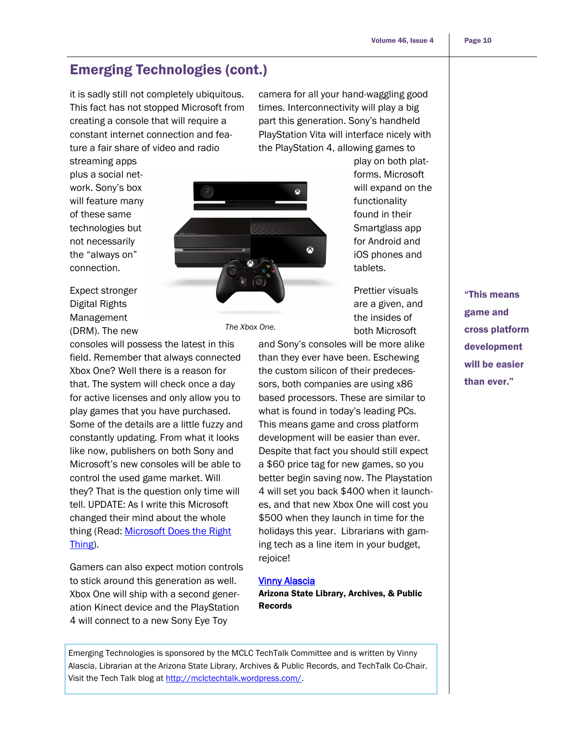play on both platforms. Microsoft will expand on the functionality found in their Smartglass app for Android and iOS phones and

tablets.

Prettier visuals are a given, and the insides of both Microsoft

# Emerging Technologies (cont.)

it is sadly still not completely ubiquitous. This fact has not stopped Microsoft from creating a console that will require a constant internet connection and feature a fair share of video and radio

camera for all your hand-waggling good times. Interconnectivity will play a big part this generation. Sony's handheld PlayStation Vita will interface nicely with the PlayStation 4, allowing games to



Expect stronger Digital Rights Management (DRM). The new

streaming apps plus a social network. Sony's box will feature many of these same technologies but not necessarily the "always on" connection.

consoles will possess the latest in this field. Remember that always connected Xbox One? Well there is a reason for that. The system will check once a day for active licenses and only allow you to play games that you have purchased. Some of the details are a little fuzzy and constantly updating. From what it looks like now, publishers on both Sony and Microsoft's new consoles will be able to control the used game market. Will they? That is the question only time will tell. UPDATE: As I write this Microsoft changed their mind about the whole thing (Read: [Microsoft Does the Right](http://www.pcmag.com/article2/0,2817,2420723,00.asp)  [Thing\)](http://www.pcmag.com/article2/0,2817,2420723,00.asp).

Gamers can also expect motion controls to stick around this generation as well. Xbox One will ship with a second generation Kinect device and the PlayStation 4 will connect to a new Sony Eye Toy

*The Xbox One.* 

and Sony's consoles will be more alike than they ever have been. Eschewing the custom silicon of their predecessors, both companies are using x86 based processors. These are similar to what is found in today's leading PCs. This means game and cross platform development will be easier than ever. Despite that fact you should still expect a \$60 price tag for new games, so you better begin saving now. The Playstation 4 will set you back \$400 when it launches, and that new Xbox One will cost you \$500 when they launch in time for the holidays this year. Librarians with gaming tech as a line item in your budget, rejoice!

#### [Vinny Alascia](mailto:valascia@azlibrary.gov)

Arizona State Library, Archives, & Public Records

Emerging Technologies is sponsored by the MCLC TechTalk Committee and is written by Vinny Alascia, Librarian at the Arizona State Library, Archives & Public Records, and TechTalk Co-Chair. Visit the Tech Talk blog at http://mclctechtalk.wordpress.com/.

"This means game and cross platform development will be easier than ever."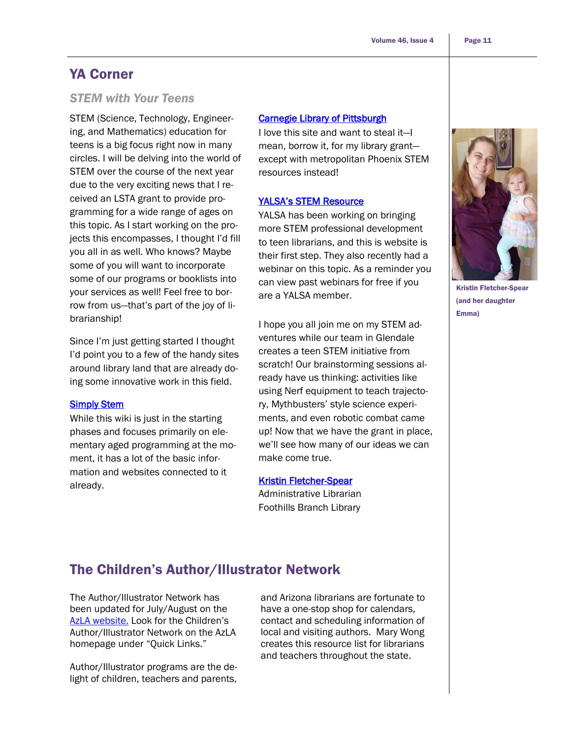### <span id="page-10-0"></span>YA Corner

### *STEM with Your Teens*

STEM (Science, Technology, Engineering, and Mathematics) education for teens is a big focus right now in many circles. I will be delving into the world of STEM over the course of the next year due to the very exciting news that I received an LSTA grant to provide programming for a wide range of ages on this topic. As I start working on the projects this encompasses, I thought I'd fill you all in as well. Who knows? Maybe some of you will want to incorporate some of our programs or booklists into your services as well! Feel free to borrow from us—that's part of the joy of librarianship!

Since I'm just getting started I thought I'd point you to a few of the handy sites around library land that are already doing some innovative work in this field.

### **[Simply Stem](http://simplystem.wikispaces.com/Welcome+to+Simply+S.T.E.M.)**

While this wiki is just in the starting phases and focuses primarily on elementary aged programming at the moment, it has a lot of the basic information and websites connected to it already.

#### [Carnegie Library of Pittsburgh](http://www.carnegielibrary.org/teens/stem/)

I love this site and want to steal it—I mean, borrow it, for my library grant except with metropolitan Phoenix STEM resources instead!

#### [YALSA's STEM Resource](http://wikis.ala.org/yalsa/index.php/STEM_Resources)

YALSA has been working on bringing more STEM professional development to teen librarians, and this is website is their first step. They also recently had a webinar on this topic. As a reminder you can view past webinars for free if you are a YALSA member.

I hope you all join me on my STEM adventures while our team in Glendale creates a teen STEM initiative from scratch! Our brainstorming sessions already have us thinking: activities like using Nerf equipment to teach trajectory, Mythbusters' style science experiments, and even robotic combat came up! Now that we have the grant in place, we'll see how many of our ideas we can make come true.

#### [Kristin Fletcher-Spear](mailto:kfletcher-spear@glendaleaz.com)

Administrative Librarian Foothills Branch Library

Kristin Fletcher-Spear (and her daughter Emma)

# The Children's Author/Illustrator Network

The Author/Illustrator Network has been updated for July/August on the [AzLA website.](http://www.azla.org/displaycommon.cfm?an=1&subarticlenbr=218) Look for the Children's Author/Illustrator Network on the AzLA homepage under "Quick Links."

Author/Illustrator programs are the delight of children, teachers and parents,

and Arizona librarians are fortunate to have a one-stop shop for calendars, contact and scheduling information of local and visiting authors. Mary Wong creates this resource list for librarians and teachers throughout the state.



Page 11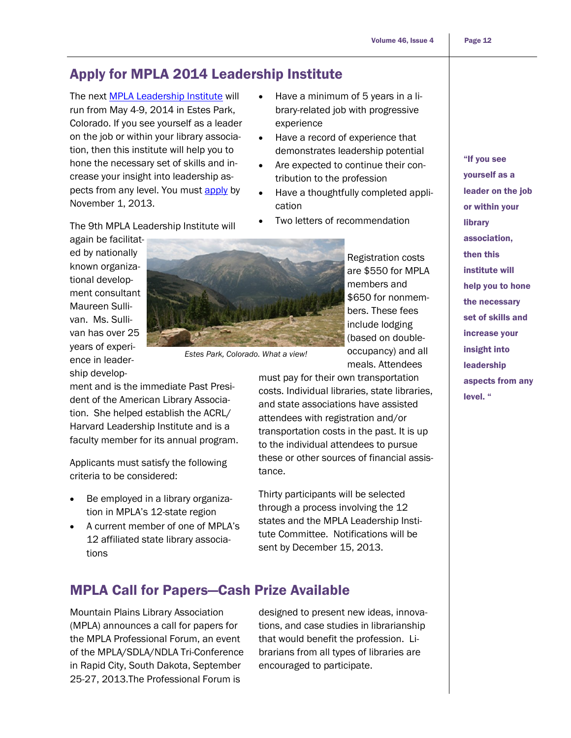# <span id="page-11-0"></span>Apply for MPLA 2014 Leadership Institute

The next [MPLA Leadership Institute](http://www.mpla.us/leadership) will run from May 4-9, 2014 in Estes Park, Colorado. If you see yourself as a leader on the job or within your library association, then this institute will help you to hone the necessary set of skills and increase your insight into leadership aspects from any level. You must [apply](http://www.mpla.us/leadership/leadershipapp2014.doc) by November 1, 2013.

The 9th MPLA Leadership Institute will

again be facilitated by nationally known organizational development consultant Maureen Sullivan. Ms. Sullivan has over 25 years of experience in leadership develop-



*Estes Park, Colorado. What a view!*

ment and is the immediate Past President of the American Library Association. She helped establish the ACRL/ Harvard Leadership Institute and is a faculty member for its annual program.

Applicants must satisfy the following criteria to be considered:

- Be employed in a library organization in MPLA's 12-state region
- A current member of one of MPLA's 12 affiliated state library associations

• Have a minimum of 5 years in a library-related job with progressive experience

- Have a record of experience that demonstrates leadership potential
- Are expected to continue their contribution to the profession
- Have a thoughtfully completed application
- Two letters of recommendation

Registration costs are \$550 for MPLA members and \$650 for nonmembers. These fees include lodging (based on doubleoccupancy) and all meals. Attendees

must pay for their own transportation costs. Individual libraries, state libraries, and state associations have assisted attendees with registration and/or transportation costs in the past. It is up to the individual attendees to pursue these or other sources of financial assistance.

> Thirty participants will be selected through a process involving the 12 states and the MPLA Leadership Institute Committee. Notifications will be sent by December 15, 2013.

# MPLA Call for Papers—Cash Prize Available

Mountain Plains Library Association (MPLA) announces a call for papers for the MPLA Professional Forum, an event of the MPLA/SDLA/NDLA Tri-Conference in Rapid City, South Dakota, September 25-27, 2013.The Professional Forum is

designed to present new ideas, innovations, and case studies in librarianship that would benefit the profession. Librarians from all types of libraries are encouraged to participate.

"If you see yourself as a leader on the job or within your library association, then this institute will help you to hone the necessary set of skills and increase your insight into leadership aspects from any level. "